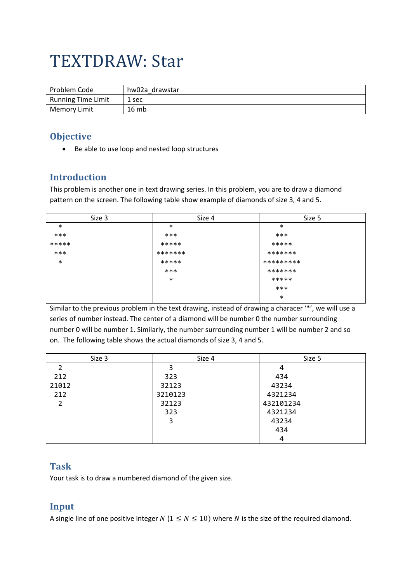# TEXTDRAW: Star

| Problem Code       | hw02a drawstar |
|--------------------|----------------|
| Running Time Limit | 1 sec          |
| Memory Limit       | 16 mb          |

## **Objective**

• Be able to use loop and nested loop structures

## **Introduction**

This problem is another one in text drawing series. In this problem, you are to draw a diamond pattern on the screen. The following table show example of diamonds of size 3, 4 and 5.

| Size 3 | Size 4  | Size 5    |
|--------|---------|-----------|
| $\ast$ | $\ast$  | $\ast$    |
| $***$  | $***$   | ***       |
| *****  | *****   | *****     |
| $***$  | ******* | *******   |
| $\ast$ | *****   | ********* |
|        | $***$   | *******   |
|        | $\ast$  | *****     |
|        |         | ***       |
|        |         | $\ast$    |

Similar to the previous problem in the text drawing, instead of drawing a characer '\*', we will use a series of number instead. The center of a diamond will be number 0 the number surrounding number 0 will be number 1. Similarly, the number surrounding number 1 will be number 2 and so on. The following table shows the actual diamonds of size 3, 4 and 5.

| Size 3 | Size 4  | Size 5    |
|--------|---------|-----------|
|        |         | 4         |
| 212    | 323     | 434       |
| 21012  | 32123   | 43234     |
| 212    | 3210123 | 4321234   |
|        | 32123   | 432101234 |
|        | 323     | 4321234   |
|        |         | 43234     |
|        |         | 434       |
|        |         | 4         |

## **Task**

Your task is to draw a numbered diamond of the given size.

## **Input**

A single line of one positive integer  $N$  ( $1 \le N \le 10$ ) where  $N$  is the size of the required diamond.